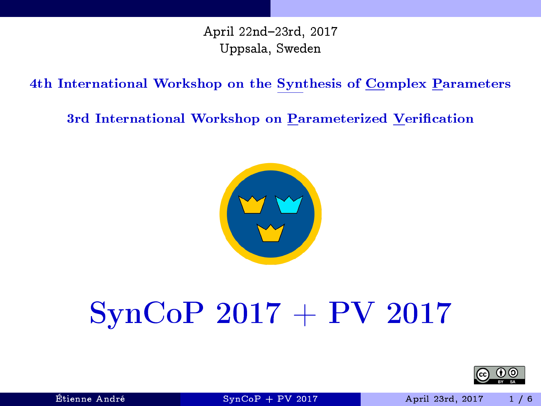April 22nd-23rd, 2017 Uppsala, Sweden

4th International Workshop on the Synthesis of Complex Parameters

3rd International Workshop on Parameterized Verification



# SynCoP 2017 + PV 2017

<span id="page-0-0"></span>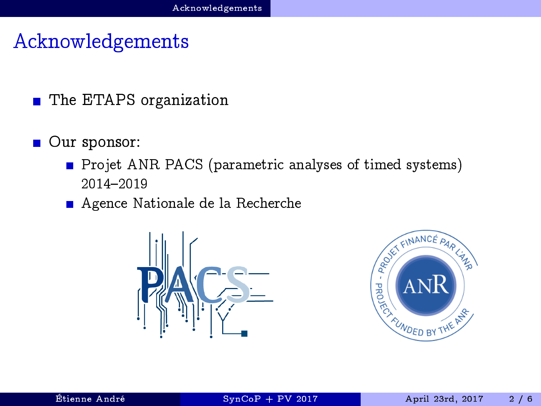### Acknowledgements

- The ETAPS organization
- Our sponsor:
	- **Projet ANR PACS** (parametric analyses of timed systems) 2014-2019
	- Agence Nationale de la Recherche



<span id="page-1-0"></span>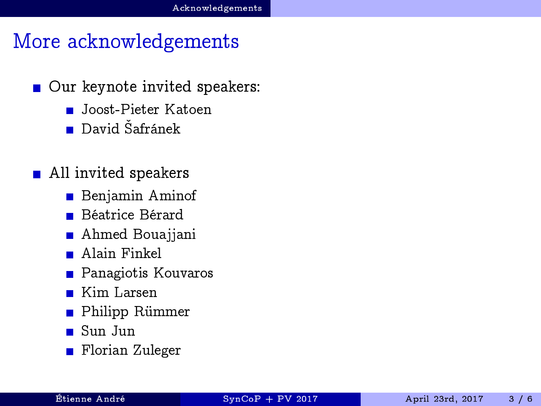### More acknowledgements

- Our keynote invited speakers:  $\blacksquare$ 
	- Joost-Pieter Katoen
	- $\blacksquare$  David Šafránek
- <span id="page-2-0"></span>■ All invited speakers
	- **Benjamin Aminof**
	- Béatrice Bérard  $\blacksquare$
	- Ahmed Bouajjani
	- Alain Finkel
	- Panagiotis Kouvaros
	- Kim Larsen
	- Philipp Rümmer  $\blacksquare$
	- Sun Jun
	- Florian Zuleger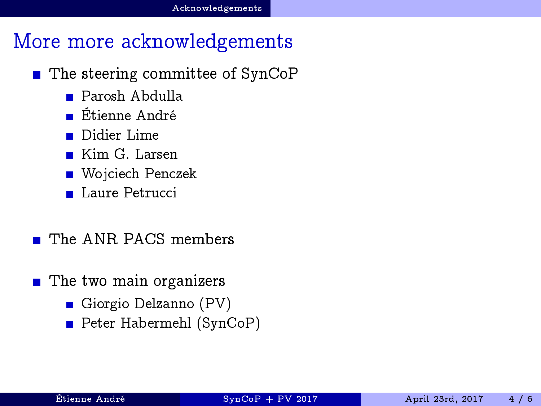### More more acknowledgements

- $\blacksquare$  The steering committee of SynCoP
	- Parosh Abdulla
	- Étienne André
	- Didier Lime
	- Kim G. Larsen
	- Wojciech Penczek
	- Laure Petrucci
	- The ANR PACS members
- <span id="page-3-0"></span>■ The two main organizers
	- Giorgio Delzanno (PV)
	- Peter Habermehl (SynCoP)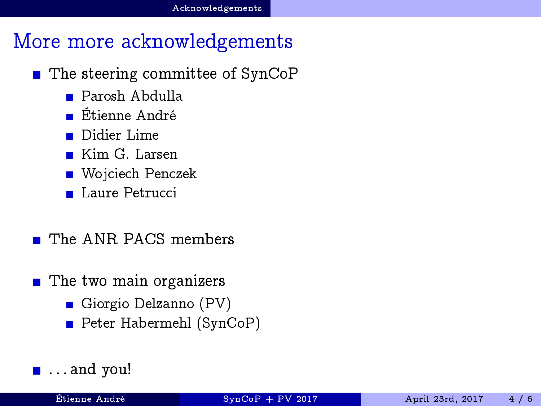### More more acknowledgements

- The steering committee of SynCoP
	- Parosh Abdulla
	- Étienne André
	- Didier Lime
	- Kim G. Larsen
	- Wojciech Penczek
	- Laure Petrucci
	- The ANR PACS members
- The two main organizers
	- Giorgio Delzanno (PV)
	- Peter Habermehl (SynCoP)

### <span id="page-4-0"></span> $\blacksquare$  ... and you!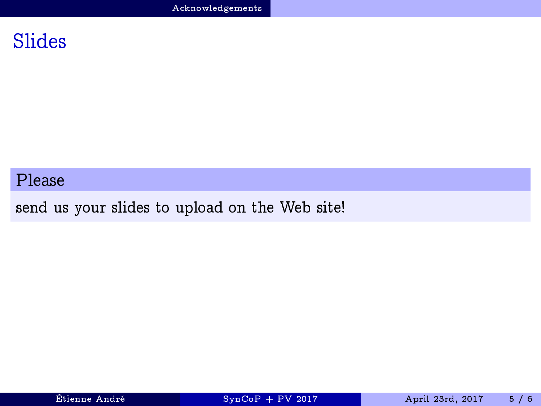### Slides

#### Please

send us your slides to upload on the Web site!

<span id="page-5-0"></span>

Étienne André [SynCoP + PV 2017](#page-0-0) April 23rd, 2017 5 / 6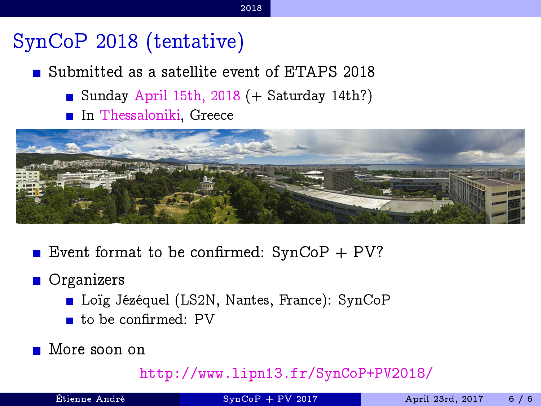# SynCoP 2018 (tentative)

Submitted as a satellite event of ETAPS 2018

- Sunday April 15th, 2018  $(+)$  Saturday 14th?)
- In Thessaloniki, Greece



Event format to be confirmed:  $SynCoP + PV?$ 

#### **Organizers**

- Loïg Jézéquel (LS2N, Nantes, France): SynCoP
- $\blacksquare$  to be confirmed: PV
- More soon on

<http://www.lipn13.fr/SynCoP+PV2018/>

|  | Etienne André |  |
|--|---------------|--|

<span id="page-6-0"></span>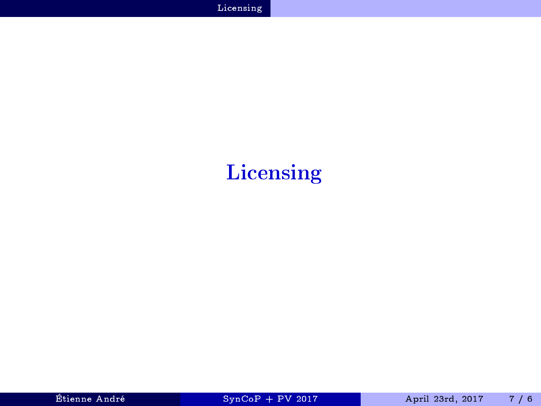# <span id="page-7-0"></span>Licensing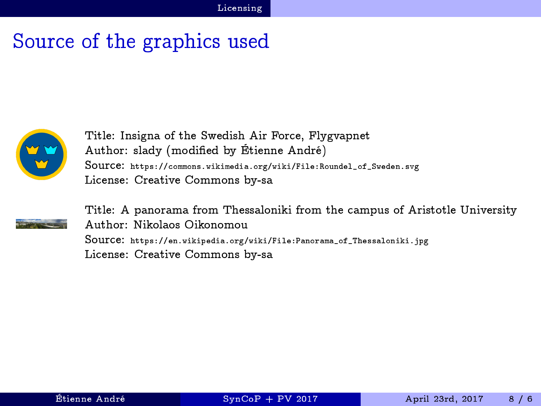# Source of the graphics used



Title: Insigna of the Swedish Air Force, Flygvapnet Author: slady (modified by Étienne André) Source: [https://commons.wikimedia.org/wiki/File:Roundel\\_of\\_Sweden.svg](https://commons.wikimedia.org/wiki/File:Roundel_of_Sweden.svg) License: Creative Commons by-sa



<span id="page-8-0"></span>Title: A panorama from Thessaloniki from the campus of Aristotle University Author: Nikolaos Oikonomou Source: [https://en.wikipedia.org/wiki/File:Panorama\\_of\\_Thessaloniki.jpg](https://en.wikipedia.org/wiki/File:Panorama_of_Thessaloniki.jpg) License: Creative Commons by-sa